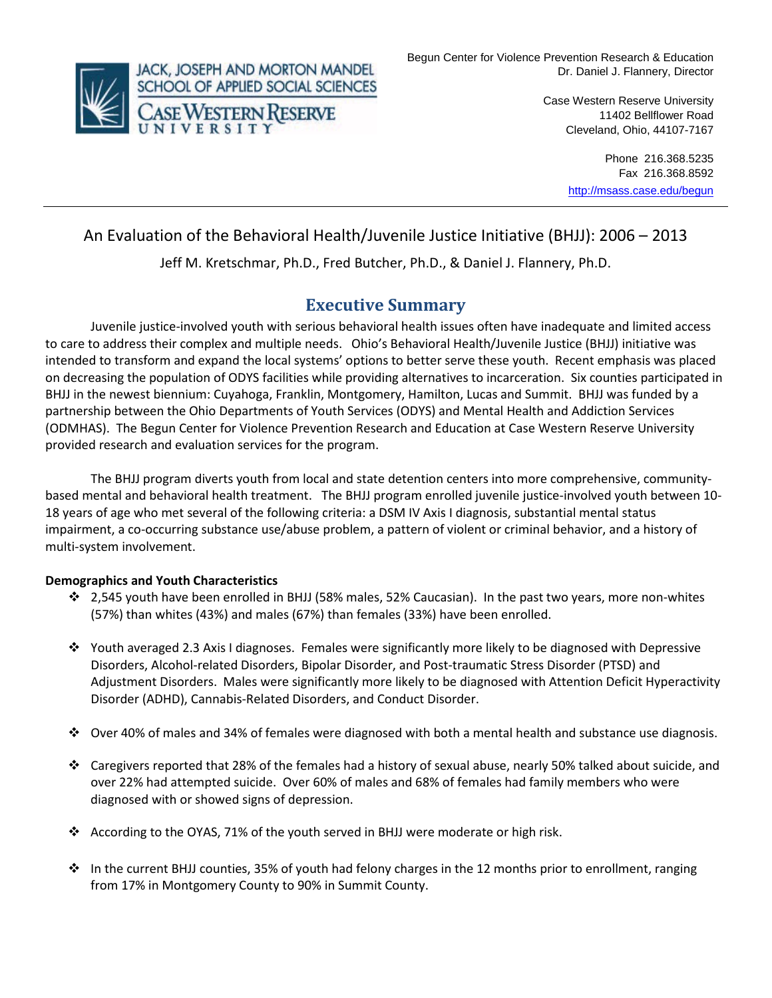

Case Western Reserve University 11402 Bellflower Road Cleveland, Ohio, 44107-7167

> Phone 216.368.5235 Fax 216.368.8592 <http://msass.case.edu/begun>

# An Evaluation of the Behavioral Health/Juvenile Justice Initiative (BHJJ): 2006 – 2013

Jeff M. Kretschmar, Ph.D., Fred Butcher, Ph.D., & Daniel J. Flannery, Ph.D.

# **Executive Summary**

Juvenile justice-involved youth with serious behavioral health issues often have inadequate and limited access to care to address their complex and multiple needs. Ohio's Behavioral Health/Juvenile Justice (BHJJ) initiative was intended to transform and expand the local systems' options to better serve these youth. Recent emphasis was placed on decreasing the population of ODYS facilities while providing alternatives to incarceration. Six counties participated in BHJJ in the newest biennium: Cuyahoga, Franklin, Montgomery, Hamilton, Lucas and Summit. BHJJ was funded by a partnership between the Ohio Departments of Youth Services (ODYS) and Mental Health and Addiction Services (ODMHAS). The Begun Center for Violence Prevention Research and Education at Case Western Reserve University provided research and evaluation services for the program.

The BHJJ program diverts youth from local and state detention centers into more comprehensive, communitybased mental and behavioral health treatment. The BHJJ program enrolled juvenile justice-involved youth between 10- 18 years of age who met several of the following criteria: a DSM IV Axis I diagnosis, substantial mental status impairment, a co-occurring substance use/abuse problem, a pattern of violent or criminal behavior, and a history of multi-system involvement.

#### **Demographics and Youth Characteristics**

- $\div$  2,545 youth have been enrolled in BHJJ (58% males, 52% Caucasian). In the past two years, more non-whites (57%) than whites (43%) and males (67%) than females (33%) have been enrolled.
- $\cdot \cdot$  Youth averaged 2.3 Axis I diagnoses. Females were significantly more likely to be diagnosed with Depressive Disorders, Alcohol-related Disorders, Bipolar Disorder, and Post-traumatic Stress Disorder (PTSD) and Adjustment Disorders. Males were significantly more likely to be diagnosed with Attention Deficit Hyperactivity Disorder (ADHD), Cannabis-Related Disorders, and Conduct Disorder.
- $\clubsuit$  Over 40% of males and 34% of females were diagnosed with both a mental health and substance use diagnosis.
- Caregivers reported that 28% of the females had a history of sexual abuse, nearly 50% talked about suicide, and over 22% had attempted suicide. Over 60% of males and 68% of females had family members who were diagnosed with or showed signs of depression.
- According to the OYAS, 71% of the youth served in BHJJ were moderate or high risk.
- In the current BHJJ counties, 35% of youth had felony charges in the 12 months prior to enrollment, ranging from 17% in Montgomery County to 90% in Summit County.